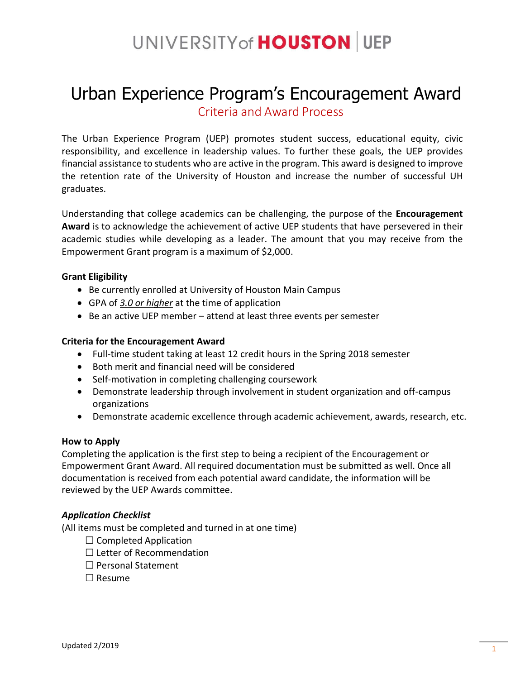### UNIVERSITY of HOUSTON UEP

# Urban Experience Program's Encouragement Award

Criteria and Award Process

The Urban Experience Program (UEP) promotes student success, educational equity, civic responsibility, and excellence in leadership values. To further these goals, the UEP provides financial assistance to students who are active in the program. This award is designed to improve the retention rate of the University of Houston and increase the number of successful UH graduates.

Understanding that college academics can be challenging, the purpose of the **Encouragement Award** is to acknowledge the achievement of active UEP students that have persevered in their academic studies while developing as a leader. The amount that you may receive from the Empowerment Grant program is a maximum of \$2,000.

### **Grant Eligibility**

- Be currently enrolled at University of Houston Main Campus
- GPA of *3.0 or higher* at the time of application
- Be an active UEP member attend at least three events per semester

### **Criteria for the Encouragement Award**

- Full-time student taking at least 12 credit hours in the Spring 2018 semester
- Both merit and financial need will be considered
- Self-motivation in completing challenging coursework
- Demonstrate leadership through involvement in student organization and off-campus organizations
- Demonstrate academic excellence through academic achievement, awards, research, etc.

#### **How to Apply**

Completing the application is the first step to being a recipient of the Encouragement or Empowerment Grant Award. All required documentation must be submitted as well. Once all documentation is received from each potential award candidate, the information will be reviewed by the UEP Awards committee.

### *Application Checklist*

(All items must be completed and turned in at one time)

- $\square$  Completed Application
- □ Letter of Recommendation
- □ Personal Statement
- $\Box$  Resume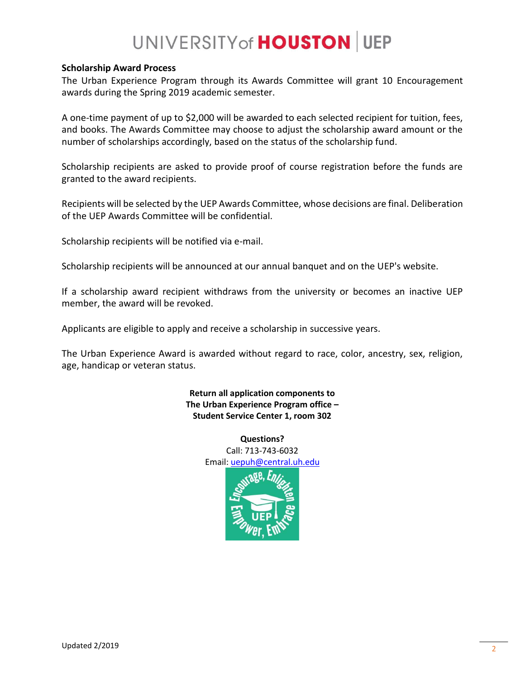### UNIVERSITY of HOUSTON UEP

#### **Scholarship Award Process**

The Urban Experience Program through its Awards Committee will grant 10 Encouragement awards during the Spring 2019 academic semester.

A one-time payment of up to \$2,000 will be awarded to each selected recipient for tuition, fees, and books. The Awards Committee may choose to adjust the scholarship award amount or the number of scholarships accordingly, based on the status of the scholarship fund.

Scholarship recipients are asked to provide proof of course registration before the funds are granted to the award recipients.

Recipients will be selected by the UEP Awards Committee, whose decisions are final. Deliberation of the UEP Awards Committee will be confidential.

Scholarship recipients will be notified via e-mail.

Scholarship recipients will be announced at our annual banquet and on the UEP's website.

If a scholarship award recipient withdraws from the university or becomes an inactive UEP member, the award will be revoked.

Applicants are eligible to apply and receive a scholarship in successive years.

The Urban Experience Award is awarded without regard to race, color, ancestry, sex, religion, age, handicap or veteran status.

> **Return all application components to The Urban Experience Program office – Student Service Center 1, room 302**

> > **Questions?** Call: 713-743-6032 Email: [uepuh@central.uh.edu](mailto:uepuh@central.uh.edu)